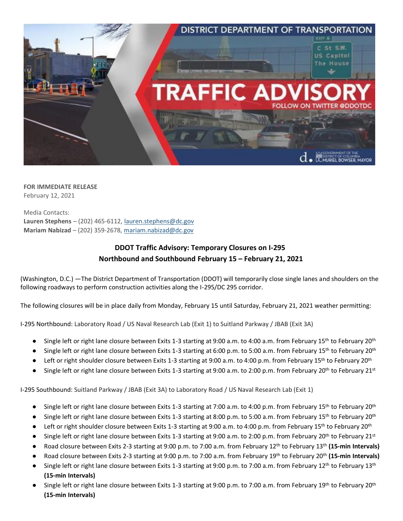

**FOR IMMEDIATE RELEASE** February 12, 2021

Media Contacts: **Lauren Stephens** – (202) 465-6112, lauren.stephens@dc.gov **Mariam Nabizad** – (202) 359-2678, mariam.nabizad@dc.gov

## **DDOT Traffic Advisory: Temporary Closures on I-295 Northbound and Southbound February 15 – February 21, 2021**

(Washington, D.C.) —The District Department of Transportation (DDOT) will temporarily close single lanes and shoulders on the following roadways to perform construction activities along the I-295/DC 295 corridor.

The following closures will be in place daily from Monday, February 15 until Saturday, February 21, 2021 weather permitting:

I-295 Northbound: Laboratory Road / US Naval Research Lab (Exit 1) to Suitland Parkway / JBAB (Exit 3A)

- Single left or right lane closure between Exits 1-3 starting at 9:00 a.m. to 4:00 a.m. from February 15<sup>th</sup> to February 20<sup>th</sup>
- Single left or right lane closure between Exits 1-3 starting at 6:00 p.m. to 5:00 a.m. from February 15<sup>th</sup> to February 20<sup>th</sup>
- Left or right shoulder closure between Exits 1-3 starting at 9:00 a.m. to 4:00 p.m. from February 15<sup>th</sup> to February 20<sup>th</sup>
- Single left or right lane closure between Exits 1-3 starting at 9:00 a.m. to 2:00 p.m. from February 20<sup>th</sup> to February 21<sup>st</sup>

I-295 Southbound: Suitland Parkway / JBAB (Exit 3A) to Laboratory Road / US Naval Research Lab (Exit 1)

- Single left or right lane closure between Exits 1-3 starting at 7:00 a.m. to 4:00 p.m. from February 15<sup>th</sup> to February 20<sup>th</sup>
- Single left or right lane closure between Exits 1-3 starting at 8:00 p.m. to 5:00 a.m. from February 15<sup>th</sup> to February 20<sup>th</sup>
- Left or right shoulder closure between Exits 1-3 starting at 9:00 a.m. to 4:00 p.m. from February 15<sup>th</sup> to February 20<sup>th</sup>
- Single left or right lane closure between Exits 1-3 starting at 9:00 a.m. to 2:00 p.m. from February 20<sup>th</sup> to February 21<sup>st</sup>
- Road closure between Exits 2-3 starting at 9:00 p.m. to 7:00 a.m. from February 12th to February 13th **(15-min Intervals)**
- Road closure between Exits 2-3 starting at 9:00 p.m. to 7:00 a.m. from February 19th to February 20th **(15-min Intervals)**
- Single left or right lane closure between Exits 1-3 starting at 9:00 p.m. to 7:00 a.m. from February 12<sup>th</sup> to February 13<sup>th</sup> **(15-min Intervals)**
- $\bullet$  Single left or right lane closure between Exits 1-3 starting at 9:00 p.m. to 7:00 a.m. from February 19<sup>th</sup> to February 20<sup>th</sup> **(15-min Intervals)**